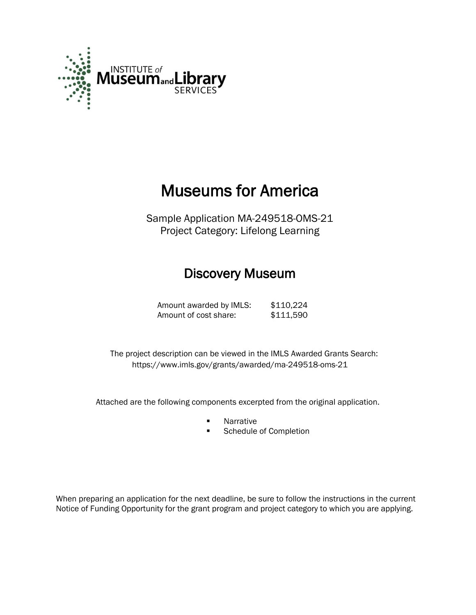

# Museums for America

Sample Application MA-249518-OMS-21 Project Category: Lifelong Learning

# Discovery Museum

Amount awarded by IMLS: \$110,224 Amount of cost share: \$111,590

 The project description can be viewed in the IMLS Awarded Grants Search: <https://www.imls.gov/grants/awarded/ma-249518-oms-21>

Attached are the following components excerpted from the original application.

- **Narrative**
- **Schedule of Completion**

When preparing an application for the next deadline, be sure to follow the instructions in the current Notice of Funding Opportunity for the grant program and project category to which you are applying.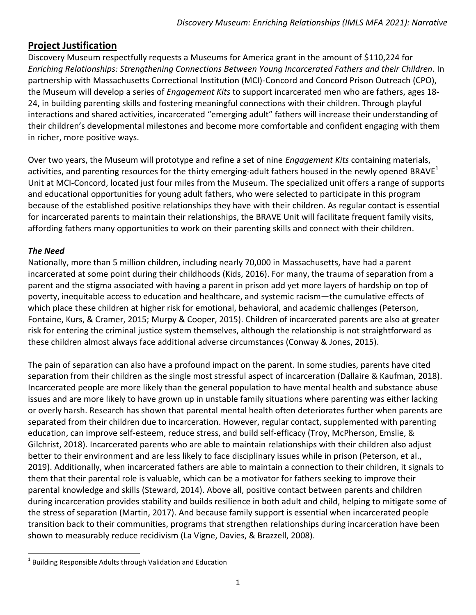# **Project Justification**

Discovery Museum respectfully requests a Museums for America grant in the amount of \$110,224 for *Enriching Relationships: Strengthening Connections Between Young Incarcerated Fathers and their Children*. In partnership with Massachusetts Correctional Institution (MCI)-Concord and Concord Prison Outreach (CPO), the Museum will develop a series of *Engagement Kits* to support incarcerated men who are fathers, ages 18- 24, in building parenting skills and fostering meaningful connections with their children. Through playful interactions and shared activities, incarcerated "emerging adult" fathers will increase their understanding of their children's developmental milestones and become more comfortable and confident engaging with them in richer, more positive ways.

Over two years, the Museum will prototype and refine a set of nine *Engagement Kits* containing materials, activities, and parenting resources for the thirty emerging-adult fathers housed in the newly opened BRAVE<sup>1</sup> Unit at MCI-Concord, located just four miles from the Museum. The specialized unit offers a range of supports and educational opportunities for young adult fathers, who were selected to participate in this program because of the established positive relationships they have with their children. As regular contact is essential for incarcerated parents to maintain their relationships, the BRAVE Unit will facilitate frequent family visits, affording fathers many opportunities to work on their parenting skills and connect with their children.

#### *The Need*

 $\overline{\phantom{a}}$ 

Nationally, more than 5 million children, including nearly 70,000 in Massachusetts, have had a parent incarcerated at some point during their childhoods (Kids, 2016). For many, the trauma of separation from a parent and the stigma associated with having a parent in prison add yet more layers of hardship on top of poverty, inequitable access to education and healthcare, and systemic racism—the cumulative effects of which place these children at higher risk for emotional, behavioral, and academic challenges (Peterson, Fontaine, Kurs, & Cramer, 2015; Murpy & Cooper, 2015). Children of incarcerated parents are also at greater risk for entering the criminal justice system themselves, although the relationship is not straightforward as these children almost always face additional adverse circumstances (Conway & Jones, 2015).

The pain of separation can also have a profound impact on the parent. In some studies, parents have cited separation from their children as the single most stressful aspect of incarceration (Dallaire & Kaufman, 2018). Incarcerated people are more likely than the general population to have mental health and substance abuse issues and are more likely to have grown up in unstable family situations where parenting was either lacking or overly harsh. Research has shown that parental mental health often deteriorates further when parents are separated from their children due to incarceration. However, regular contact, supplemented with parenting education, can improve self-esteem, reduce stress, and build self-efficacy (Troy, McPherson, Emslie, & Gilchrist, 2018). Incarcerated parents who are able to maintain relationships with their children also adjust better to their environment and are less likely to face disciplinary issues while in prison (Peterson, et al., 2019). Additionally, when incarcerated fathers are able to maintain a connection to their children, it signals to them that their parental role is valuable, which can be a motivator for fathers seeking to improve their parental knowledge and skills (Steward, 2014). Above all, positive contact between parents and children during incarceration provides stability and builds resilience in both adult and child, helping to mitigate some of the stress of separation (Martin, 2017). And because family support is essential when incarcerated people transition back to their communities, programs that strengthen relationships during incarceration have been shown to measurably reduce recidivism (La Vigne, Davies, & Brazzell, 2008).

 $<sup>1</sup>$  Building Responsible Adults through Validation and Education</sup>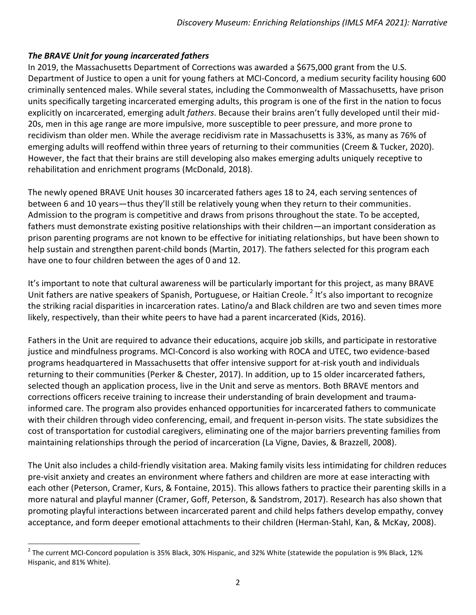# *The BRAVE Unit for young incarcerated fathers*

In 2019, the Massachusetts Department of Corrections was awarded a \$675,000 grant from the U.S. Department of Justice to open a unit for young fathers at MCI-Concord, a medium security facility housing 600 criminally sentenced males. While several states, including the Commonwealth of Massachusetts, have prison units specifically targeting incarcerated emerging adults, this program is one of the first in the nation to focus explicitly on incarcerated, emerging adult *fathers*. Because their brains aren't fully developed until their mid-20s, men in this age range are more impulsive, more susceptible to peer pressure, and more prone to recidivism than older men. While the average recidivism rate in Massachusetts is 33%, as many as 76% of emerging adults will reoffend within three years of returning to their communities (Creem & Tucker, 2020). However, the fact that their brains are still developing also makes emerging adults uniquely receptive to rehabilitation and enrichment programs (McDonald, 2018).

The newly opened BRAVE Unit houses 30 incarcerated fathers ages 18 to 24, each serving sentences of between 6 and 10 years—thus they'll still be relatively young when they return to their communities. Admission to the program is competitive and draws from prisons throughout the state. To be accepted, fathers must demonstrate existing positive relationships with their children—an important consideration as prison parenting programs are not known to be effective for initiating relationships, but have been shown to help sustain and strengthen parent-child bonds (Martin, 2017). The fathers selected for this program each have one to four children between the ages of 0 and 12.

It's important to note that cultural awareness will be particularly important for this project, as many BRAVE Unit fathers are native speakers of Spanish, Portuguese, or Haitian Creole.<sup>2</sup> It's also important to recognize the striking racial disparities in incarceration rates. Latino/a and Black children are two and seven times more likely, respectively, than their white peers to have had a parent incarcerated (Kids, 2016).

Fathers in the Unit are required to advance their educations, acquire job skills, and participate in restorative justice and mindfulness programs. MCI-Concord is also working with ROCA and UTEC, two evidence-based programs headquartered in Massachusetts that offer intensive support for at-risk youth and individuals returning to their communities (Perker & Chester, 2017). In addition, up to 15 older incarcerated fathers, selected though an application process, live in the Unit and serve as mentors. Both BRAVE mentors and corrections officers receive training to increase their understanding of brain development and traumainformed care. The program also provides enhanced opportunities for incarcerated fathers to communicate with their children through video conferencing, email, and frequent in-person visits. The state subsidizes the cost of transportation for custodial caregivers, eliminating one of the major barriers preventing families from maintaining relationships through the period of incarceration (La Vigne, Davies, & Brazzell, 2008).

The Unit also includes a child-friendly visitation area. Making family visits less intimidating for children reduces pre-visit anxiety and creates an environment where fathers and children are more at ease interacting with each other (Peterson, Cramer, Kurs, & Fontaine, 2015). This allows fathers to practice their parenting skills in a more natural and playful manner (Cramer, Goff, Peterson, & Sandstrom, 2017). Research has also shown that promoting playful interactions between incarcerated parent and child helps fathers develop empathy, convey acceptance, and form deeper emotional attachments to their children (Herman-Stahl, Kan, & McKay, 2008).

 2 The current MCI-Concord population is 35% Black, 30% Hispanic, and 32% White (statewide the population is 9% Black, 12% Hispanic, and 81% White).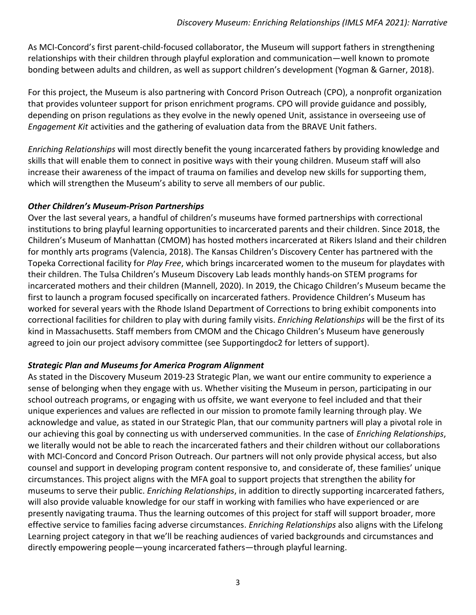As MCI-Concord's first parent-child-focused collaborator, the Museum will support fathers in strengthening relationships with their children through playful exploration and communication—well known to promote bonding between adults and children, as well as support children's development (Yogman & Garner, 2018).

For this project, the Museum is also partnering with Concord Prison Outreach (CPO), a nonprofit organization that provides volunteer support for prison enrichment programs. CPO will provide guidance and possibly, depending on prison regulations as they evolve in the newly opened Unit, assistance in overseeing use of *Engagement Kit* activities and the gathering of evaluation data from the BRAVE Unit fathers.

*Enriching Relationships* will most directly benefit the young incarcerated fathers by providing knowledge and skills that will enable them to connect in positive ways with their young children. Museum staff will also increase their awareness of the impact of trauma on families and develop new skills for supporting them, which will strengthen the Museum's ability to serve all members of our public.

### *Other Children's Museum-Prison Partnerships*

Over the last several years, a handful of children's museums have formed partnerships with correctional institutions to bring playful learning opportunities to incarcerated parents and their children. Since 2018, the Children's Museum of Manhattan (CMOM) has hosted mothers incarcerated at Rikers Island and their children for monthly arts programs (Valencia, 2018). The Kansas Children's Discovery Center has partnered with the Topeka Correctional facility for *Play Free*, which brings incarcerated women to the museum for playdates with their children. The Tulsa Children's Museum Discovery Lab leads monthly hands-on STEM programs for incarcerated mothers and their children (Mannell, 2020). In 2019, the Chicago Children's Museum became the first to launch a program focused specifically on incarcerated fathers. Providence Children's Museum has worked for several years with the Rhode Island Department of Corrections to bring exhibit components into correctional facilities for children to play with during family visits. *Enriching Relationships* will be the first of its kind in Massachusetts. Staff members from CMOM and the Chicago Children's Museum have generously agreed to join our project advisory committee (see Supportingdoc2 for letters of support).

# *Strategic Plan and Museums for America Program Alignment*

As stated in the Discovery Museum 2019-23 Strategic Plan, we want our entire community to experience a sense of belonging when they engage with us. Whether visiting the Museum in person, participating in our school outreach programs, or engaging with us offsite, we want everyone to feel included and that their unique experiences and values are reflected in our mission to promote family learning through play. We acknowledge and value, as stated in our Strategic Plan, that our community partners will play a pivotal role in our achieving this goal by connecting us with underserved communities. In the case of *Enriching Relationships*, we literally would not be able to reach the incarcerated fathers and their children without our collaborations with MCI-Concord and Concord Prison Outreach. Our partners will not only provide physical access, but also counsel and support in developing program content responsive to, and considerate of, these families' unique circumstances. This project aligns with the MFA goal to support projects that strengthen the ability for museums to serve their public. *Enriching Relationships*, in addition to directly supporting incarcerated fathers, will also provide valuable knowledge for our staff in working with families who have experienced or are presently navigating trauma. Thus the learning outcomes of this project for staff will support broader, more effective service to families facing adverse circumstances. *Enriching Relationships* also aligns with the Lifelong Learning project category in that we'll be reaching audiences of varied backgrounds and circumstances and directly empowering people—young incarcerated fathers—through playful learning.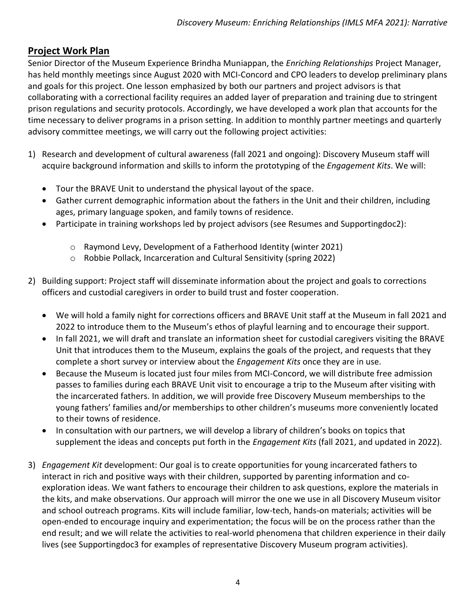# **Project Work Plan**

Senior Director of the Museum Experience Brindha Muniappan, the *Enriching Relationships* Project Manager, has held monthly meetings since August 2020 with MCI-Concord and CPO leaders to develop preliminary plans and goals for this project. One lesson emphasized by both our partners and project advisors is that collaborating with a correctional facility requires an added layer of preparation and training due to stringent prison regulations and security protocols. Accordingly, we have developed a work plan that accounts for the time necessary to deliver programs in a prison setting. In addition to monthly partner meetings and quarterly advisory committee meetings, we will carry out the following project activities:

- 1) Research and development of cultural awareness (fall 2021 and ongoing): Discovery Museum staff will acquire background information and skills to inform the prototyping of the *Engagement Kits*. We will:
	- Tour the BRAVE Unit to understand the physical layout of the space.
	- Gather current demographic information about the fathers in the Unit and their children, including ages, primary language spoken, and family towns of residence.
	- Participate in training workshops led by project advisors (see Resumes and Supportingdoc2):
		- o Raymond Levy, Development of a Fatherhood Identity (winter 2021)
		- o Robbie Pollack, Incarceration and Cultural Sensitivity (spring 2022)
- 2) Building support: Project staff will disseminate information about the project and goals to corrections officers and custodial caregivers in order to build trust and foster cooperation.
	- We will hold a family night for corrections officers and BRAVE Unit staff at the Museum in fall 2021 and 2022 to introduce them to the Museum's ethos of playful learning and to encourage their support.
	- In fall 2021, we will draft and translate an information sheet for custodial caregivers visiting the BRAVE Unit that introduces them to the Museum, explains the goals of the project, and requests that they complete a short survey or interview about the *Engagement Kits* once they are in use.
	- Because the Museum is located just four miles from MCI-Concord, we will distribute free admission passes to families during each BRAVE Unit visit to encourage a trip to the Museum after visiting with the incarcerated fathers. In addition, we will provide free Discovery Museum memberships to the young fathers' families and/or memberships to other children's museums more conveniently located to their towns of residence.
	- In consultation with our partners, we will develop a library of children's books on topics that supplement the ideas and concepts put forth in the *Engagement Kits* (fall 2021, and updated in 2022).
- 3) *Engagement Kit* development: Our goal is to create opportunities for young incarcerated fathers to interact in rich and positive ways with their children, supported by parenting information and coexploration ideas. We want fathers to encourage their children to ask questions, explore the materials in the kits, and make observations. Our approach will mirror the one we use in all Discovery Museum visitor and school outreach programs. Kits will include familiar, low-tech, hands-on materials; activities will be open-ended to encourage inquiry and experimentation; the focus will be on the process rather than the end result; and we will relate the activities to real-world phenomena that children experience in their daily lives (see Supportingdoc3 for examples of representative Discovery Museum program activities).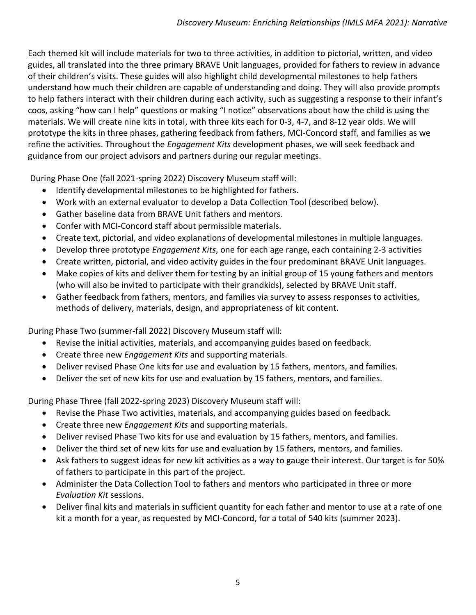Each themed kit will include materials for two to three activities, in addition to pictorial, written, and video guides, all translated into the three primary BRAVE Unit languages, provided for fathers to review in advance of their children's visits. These guides will also highlight child developmental milestones to help fathers understand how much their children are capable of understanding and doing. They will also provide prompts to help fathers interact with their children during each activity, such as suggesting a response to their infant's coos, asking "how can I help" questions or making "I notice" observations about how the child is using the materials. We will create nine kits in total, with three kits each for 0-3, 4-7, and 8-12 year olds. We will prototype the kits in three phases, gathering feedback from fathers, MCI-Concord staff, and families as we refine the activities. Throughout the *Engagement Kits* development phases, we will seek feedback and guidance from our project advisors and partners during our regular meetings.

During Phase One (fall 2021-spring 2022) Discovery Museum staff will:

- Identify developmental milestones to be highlighted for fathers.
- Work with an external evaluator to develop a Data Collection Tool (described below).
- Gather baseline data from BRAVE Unit fathers and mentors.
- Confer with MCI-Concord staff about permissible materials.
- Create text, pictorial, and video explanations of developmental milestones in multiple languages.
- Develop three prototype *Engagement Kits*, one for each age range, each containing 2-3 activities
- Create written, pictorial, and video activity guides in the four predominant BRAVE Unit languages.
- Make copies of kits and deliver them for testing by an initial group of 15 young fathers and mentors (who will also be invited to participate with their grandkids), selected by BRAVE Unit staff.
- Gather feedback from fathers, mentors, and families via survey to assess responses to activities, methods of delivery, materials, design, and appropriateness of kit content.

During Phase Two (summer-fall 2022) Discovery Museum staff will:

- Revise the initial activities, materials, and accompanying guides based on feedback.
- Create three new *Engagement Kits* and supporting materials.
- Deliver revised Phase One kits for use and evaluation by 15 fathers, mentors, and families.
- Deliver the set of new kits for use and evaluation by 15 fathers, mentors, and families.

During Phase Three (fall 2022-spring 2023) Discovery Museum staff will:

- Revise the Phase Two activities, materials, and accompanying guides based on feedback.
- Create three new *Engagement Kits* and supporting materials.
- Deliver revised Phase Two kits for use and evaluation by 15 fathers, mentors, and families.
- Deliver the third set of new kits for use and evaluation by 15 fathers, mentors, and families.
- Ask fathers to suggest ideas for new kit activities as a way to gauge their interest. Our target is for 50% of fathers to participate in this part of the project.
- Administer the Data Collection Tool to fathers and mentors who participated in three or more *Evaluation Kit* sessions.
- Deliver final kits and materials in sufficient quantity for each father and mentor to use at a rate of one kit a month for a year, as requested by MCI-Concord, for a total of 540 kits (summer 2023).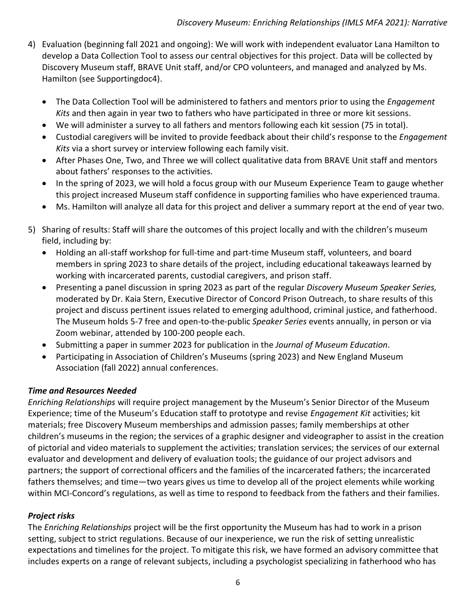- 4) Evaluation (beginning fall 2021 and ongoing): We will work with independent evaluator Lana Hamilton to develop a Data Collection Tool to assess our central objectives for this project. Data will be collected by Discovery Museum staff, BRAVE Unit staff, and/or CPO volunteers, and managed and analyzed by Ms. Hamilton (see Supportingdoc4).
	- The Data Collection Tool will be administered to fathers and mentors prior to using the *Engagement Kits* and then again in year two to fathers who have participated in three or more kit sessions.
	- We will administer a survey to all fathers and mentors following each kit session (75 in total).
	- Custodial caregivers will be invited to provide feedback about their child's response to the *Engagement Kits* via a short survey or interview following each family visit.
	- After Phases One, Two, and Three we will collect qualitative data from BRAVE Unit staff and mentors about fathers' responses to the activities.
	- In the spring of 2023, we will hold a focus group with our Museum Experience Team to gauge whether this project increased Museum staff confidence in supporting families who have experienced trauma.
	- Ms. Hamilton will analyze all data for this project and deliver a summary report at the end of year two.
- 5) Sharing of results: Staff will share the outcomes of this project locally and with the children's museum field, including by:
	- Holding an all-staff workshop for full-time and part-time Museum staff, volunteers, and board members in spring 2023 to share details of the project, including educational takeaways learned by working with incarcerated parents, custodial caregivers, and prison staff.
	- Presenting a panel discussion in spring 2023 as part of the regular *Discovery Museum Speaker Series,*  moderated by Dr. Kaia Stern, Executive Director of Concord Prison Outreach, to share results of this project and discuss pertinent issues related to emerging adulthood, criminal justice, and fatherhood. The Museum holds 5-7 free and open-to-the-public *Speaker Series* events annually, in person or via Zoom webinar, attended by 100-200 people each.
	- Submitting a paper in summer 2023 for publication in the *Journal of Museum Education*.
	- Participating in Association of Children's Museums (spring 2023) and New England Museum Association (fall 2022) annual conferences.

# *Time and Resources Needed*

*Enriching Relationships* will require project management by the Museum's Senior Director of the Museum Experience; time of the Museum's Education staff to prototype and revise *Engagement Kit* activities; kit materials; free Discovery Museum memberships and admission passes; family memberships at other children's museums in the region; the services of a graphic designer and videographer to assist in the creation of pictorial and video materials to supplement the activities; translation services; the services of our external evaluator and development and delivery of evaluation tools; the guidance of our project advisors and partners; the support of correctional officers and the families of the incarcerated fathers; the incarcerated fathers themselves; and time—two years gives us time to develop all of the project elements while working within MCI-Concord's regulations, as well as time to respond to feedback from the fathers and their families.

#### *Project risks*

The *Enriching Relationships* project will be the first opportunity the Museum has had to work in a prison setting, subject to strict regulations. Because of our inexperience, we run the risk of setting unrealistic expectations and timelines for the project. To mitigate this risk, we have formed an advisory committee that includes experts on a range of relevant subjects, including a psychologist specializing in fatherhood who has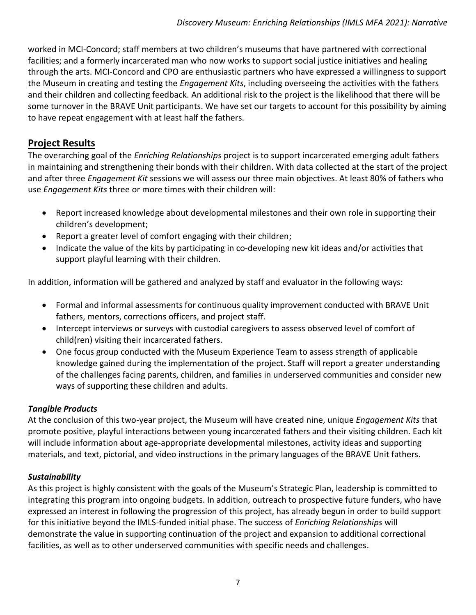worked in MCI-Concord; staff members at two children's museums that have partnered with correctional facilities; and a formerly incarcerated man who now works to support social justice initiatives and healing through the arts. MCI-Concord and CPO are enthusiastic partners who have expressed a willingness to support the Museum in creating and testing the *Engagement Kits*, including overseeing the activities with the fathers and their children and collecting feedback. An additional risk to the project is the likelihood that there will be some turnover in the BRAVE Unit participants. We have set our targets to account for this possibility by aiming to have repeat engagement with at least half the fathers.

# **Project Results**

The overarching goal of the *Enriching Relationships* project is to support incarcerated emerging adult fathers in maintaining and strengthening their bonds with their children. With data collected at the start of the project and after three *Engagement Kit* sessions we will assess our three main objectives. At least 80% of fathers who use *Engagement Kits* three or more times with their children will:

- Report increased knowledge about developmental milestones and their own role in supporting their children's development;
- Report a greater level of comfort engaging with their children;
- Indicate the value of the kits by participating in co-developing new kit ideas and/or activities that support playful learning with their children.

In addition, information will be gathered and analyzed by staff and evaluator in the following ways:

- Formal and informal assessments for continuous quality improvement conducted with BRAVE Unit fathers, mentors, corrections officers, and project staff.
- Intercept interviews or surveys with custodial caregivers to assess observed level of comfort of child(ren) visiting their incarcerated fathers.
- One focus group conducted with the Museum Experience Team to assess strength of applicable knowledge gained during the implementation of the project. Staff will report a greater understanding of the challenges facing parents, children, and families in underserved communities and consider new ways of supporting these children and adults.

# *Tangible Products*

At the conclusion of this two-year project, the Museum will have created nine, unique *Engagement Kits* that promote positive, playful interactions between young incarcerated fathers and their visiting children. Each kit will include information about age-appropriate developmental milestones, activity ideas and supporting materials, and text, pictorial, and video instructions in the primary languages of the BRAVE Unit fathers.

#### *Sustainability*

As this project is highly consistent with the goals of the Museum's Strategic Plan, leadership is committed to integrating this program into ongoing budgets. In addition, outreach to prospective future funders, who have expressed an interest in following the progression of this project, has already begun in order to build support for this initiative beyond the IMLS-funded initial phase. The success of *Enriching Relationships* will demonstrate the value in supporting continuation of the project and expansion to additional correctional facilities, as well as to other underserved communities with specific needs and challenges.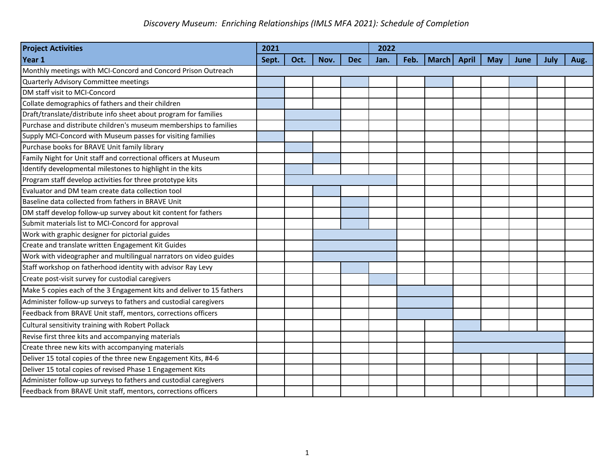| <b>Project Activities</b>                                             | 2021  |      |      |            | 2022 |      |       |              |     |      |      |      |
|-----------------------------------------------------------------------|-------|------|------|------------|------|------|-------|--------------|-----|------|------|------|
| Year 1                                                                | Sept. | Oct. | Nov. | <b>Dec</b> | Jan. | Feb. | March | <b>April</b> | May | June | July | Aug. |
| Monthly meetings with MCI-Concord and Concord Prison Outreach         |       |      |      |            |      |      |       |              |     |      |      |      |
| Quarterly Advisory Committee meetings                                 |       |      |      |            |      |      |       |              |     |      |      |      |
| DM staff visit to MCI-Concord                                         |       |      |      |            |      |      |       |              |     |      |      |      |
| Collate demographics of fathers and their children                    |       |      |      |            |      |      |       |              |     |      |      |      |
| Draft/translate/distribute info sheet about program for families      |       |      |      |            |      |      |       |              |     |      |      |      |
| Purchase and distribute children's museum memberships to families     |       |      |      |            |      |      |       |              |     |      |      |      |
| Supply MCI-Concord with Museum passes for visiting families           |       |      |      |            |      |      |       |              |     |      |      |      |
| Purchase books for BRAVE Unit family library                          |       |      |      |            |      |      |       |              |     |      |      |      |
| Family Night for Unit staff and correctional officers at Museum       |       |      |      |            |      |      |       |              |     |      |      |      |
| Identify developmental milestones to highlight in the kits            |       |      |      |            |      |      |       |              |     |      |      |      |
| Program staff develop activities for three prototype kits             |       |      |      |            |      |      |       |              |     |      |      |      |
| Evaluator and DM team create data collection tool                     |       |      |      |            |      |      |       |              |     |      |      |      |
| Baseline data collected from fathers in BRAVE Unit                    |       |      |      |            |      |      |       |              |     |      |      |      |
| DM staff develop follow-up survey about kit content for fathers       |       |      |      |            |      |      |       |              |     |      |      |      |
| Submit materials list to MCI-Concord for approval                     |       |      |      |            |      |      |       |              |     |      |      |      |
| Work with graphic designer for pictorial guides                       |       |      |      |            |      |      |       |              |     |      |      |      |
| Create and translate written Engagement Kit Guides                    |       |      |      |            |      |      |       |              |     |      |      |      |
| Work with videographer and multilingual narrators on video guides     |       |      |      |            |      |      |       |              |     |      |      |      |
| Staff workshop on fatherhood identity with advisor Ray Levy           |       |      |      |            |      |      |       |              |     |      |      |      |
| Create post-visit survey for custodial caregivers                     |       |      |      |            |      |      |       |              |     |      |      |      |
| Make 5 copies each of the 3 Engagement kits and deliver to 15 fathers |       |      |      |            |      |      |       |              |     |      |      |      |
| Administer follow-up surveys to fathers and custodial caregivers      |       |      |      |            |      |      |       |              |     |      |      |      |
| Feedback from BRAVE Unit staff, mentors, corrections officers         |       |      |      |            |      |      |       |              |     |      |      |      |
| Cultural sensitivity training with Robert Pollack                     |       |      |      |            |      |      |       |              |     |      |      |      |
| Revise first three kits and accompanying materials                    |       |      |      |            |      |      |       |              |     |      |      |      |
| Create three new kits with accompanying materials                     |       |      |      |            |      |      |       |              |     |      |      |      |
| Deliver 15 total copies of the three new Engagement Kits, #4-6        |       |      |      |            |      |      |       |              |     |      |      |      |
| Deliver 15 total copies of revised Phase 1 Engagement Kits            |       |      |      |            |      |      |       |              |     |      |      |      |
| Administer follow-up surveys to fathers and custodial caregivers      |       |      |      |            |      |      |       |              |     |      |      |      |
| Feedback from BRAVE Unit staff, mentors, corrections officers         |       |      |      |            |      |      |       |              |     |      |      |      |